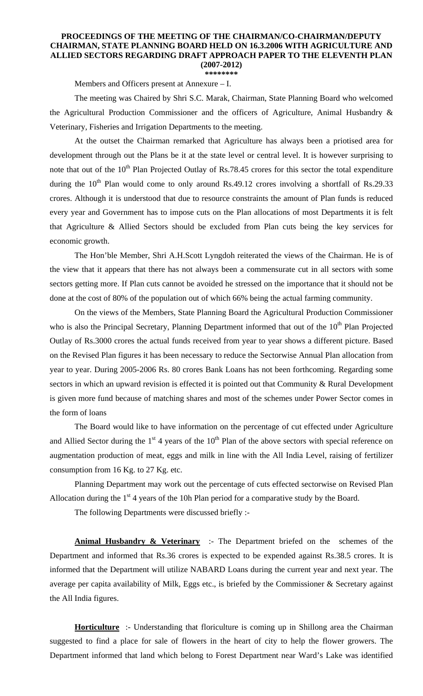## **PROCEEDINGS OF THE MEETING OF THE CHAIRMAN/CO-CHAIRMAN/DEPUTY CHAIRMAN, STATE PLANNING BOARD HELD ON 16.3.2006 WITH AGRICULTURE AND ALLIED SECTORS REGARDING DRAFT APPROACH PAPER TO THE ELEVENTH PLAN (2007-2012)**

**\*\*\*\*\*\*\*\*** 

Members and Officers present at Annexure – I.

The meeting was Chaired by Shri S.C. Marak, Chairman, State Planning Board who welcomed the Agricultural Production Commissioner and the officers of Agriculture, Animal Husbandry & Veterinary, Fisheries and Irrigation Departments to the meeting.

 At the outset the Chairman remarked that Agriculture has always been a priotised area for development through out the Plans be it at the state level or central level. It is however surprising to note that out of the 10<sup>th</sup> Plan Projected Outlay of Rs.78.45 crores for this sector the total expenditure during the  $10^{th}$  Plan would come to only around Rs.49.12 crores involving a shortfall of Rs.29.33 crores. Although it is understood that due to resource constraints the amount of Plan funds is reduced every year and Government has to impose cuts on the Plan allocations of most Departments it is felt that Agriculture & Allied Sectors should be excluded from Plan cuts being the key services for economic growth.

 The Hon'ble Member, Shri A.H.Scott Lyngdoh reiterated the views of the Chairman. He is of the view that it appears that there has not always been a commensurate cut in all sectors with some sectors getting more. If Plan cuts cannot be avoided he stressed on the importance that it should not be done at the cost of 80% of the population out of which 66% being the actual farming community.

 On the views of the Members, State Planning Board the Agricultural Production Commissioner who is also the Principal Secretary, Planning Department informed that out of the  $10<sup>th</sup>$  Plan Projected Outlay of Rs.3000 crores the actual funds received from year to year shows a different picture. Based on the Revised Plan figures it has been necessary to reduce the Sectorwise Annual Plan allocation from year to year. During 2005-2006 Rs. 80 crores Bank Loans has not been forthcoming. Regarding some sectors in which an upward revision is effected it is pointed out that Community & Rural Development is given more fund because of matching shares and most of the schemes under Power Sector comes in the form of loans

 The Board would like to have information on the percentage of cut effected under Agriculture and Allied Sector during the  $1<sup>st</sup>$  4 years of the  $10<sup>th</sup>$  Plan of the above sectors with special reference on augmentation production of meat, eggs and milk in line with the All India Level, raising of fertilizer consumption from 16 Kg. to 27 Kg. etc.

 Planning Department may work out the percentage of cuts effected sectorwise on Revised Plan Allocation during the  $1<sup>st</sup>$  4 years of the 10h Plan period for a comparative study by the Board.

The following Departments were discussed briefly :-

**Animal Husbandry & Veterinary** :- The Department briefed on the schemes of the Department and informed that Rs.36 crores is expected to be expended against Rs.38.5 crores. It is informed that the Department will utilize NABARD Loans during the current year and next year. The average per capita availability of Milk, Eggs etc., is briefed by the Commissioner & Secretary against the All India figures.

**Horticulture** :- Understanding that floriculture is coming up in Shillong area the Chairman suggested to find a place for sale of flowers in the heart of city to help the flower growers. The Department informed that land which belong to Forest Department near Ward's Lake was identified